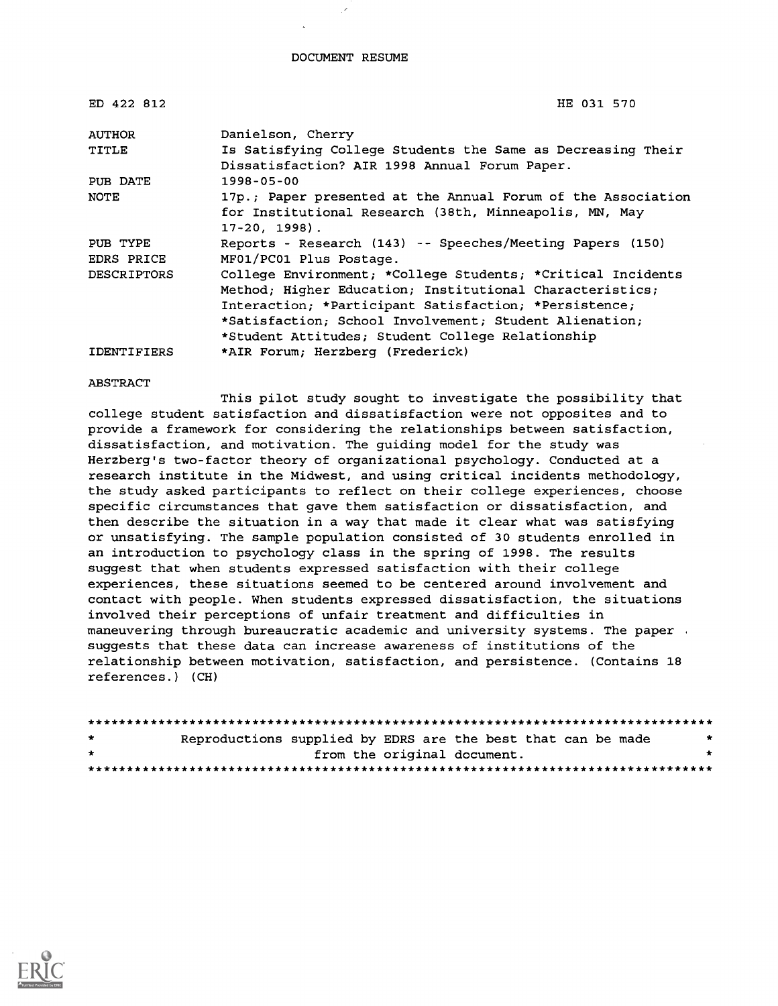#### DOCUMENT RESUME

| ED 422 812         | HE 031 570                                                                                                                                |
|--------------------|-------------------------------------------------------------------------------------------------------------------------------------------|
| AUTHOR             | Danielson, Cherry                                                                                                                         |
| TITLE              | Is Satisfying College Students the Same as Decreasing Their<br>Dissatisfaction? AIR 1998 Annual Forum Paper.                              |
| PUB DATE           | 1998-05-00                                                                                                                                |
| NOTE               | 17p.; Paper presented at the Annual Forum of the Association<br>for Institutional Research (38th, Minneapolis, MN, May<br>$17-20, 1998$ . |
| PUB TYPE           | Reports - Research (143) -- Speeches/Meeting Papers (150)                                                                                 |
| EDRS PRICE         | MF01/PC01 Plus Postage.                                                                                                                   |
| <b>DESCRIPTORS</b> | College Environment; *College Students; *Critical Incidents                                                                               |
|                    | Method; Higher Education; Institutional Characteristics;                                                                                  |
|                    | Interaction; *Participant Satisfaction; *Persistence;                                                                                     |
|                    | *Satisfaction; School Involvement; Student Alienation;                                                                                    |
|                    | *Student Attitudes; Student College Relationship                                                                                          |
| <b>IDENTIFIERS</b> | *AIR Forum; Herzberg (Frederick)                                                                                                          |

#### ABSTRACT

This pilot study sought to investigate the possibility that college student satisfaction and dissatisfaction were not opposites and to provide a framework for considering the relationships between satisfaction, dissatisfaction, and motivation. The guiding model for the study was Herzberg's two-factor theory of organizational psychology. Conducted at a research institute in the Midwest, and using critical incidents methodology, the study asked participants to reflect on their college experiences, choose specific circumstances that gave them satisfaction or dissatisfaction, and then describe the situation in a way that made it clear what was satisfying or unsatisfying. The sample population consisted of 30 students enrolled in an introduction to psychology class in the spring of 1998. The results suggest that when students expressed satisfaction with their college experiences, these situations seemed to be centered around involvement and contact with people. When students expressed dissatisfaction, the situations involved their perceptions of unfair treatment and difficulties in maneuvering through bureaucratic academic and university systems. The paper , suggests that these data can increase awareness of institutions of the relationship between motivation, satisfaction, and persistence. (Contains 18 references.) (CH)

| $\star$ | Reproductions supplied by EDRS are the best that can be made | $\star$ |
|---------|--------------------------------------------------------------|---------|
| $\star$ | from the original document.                                  |         |
|         |                                                              |         |

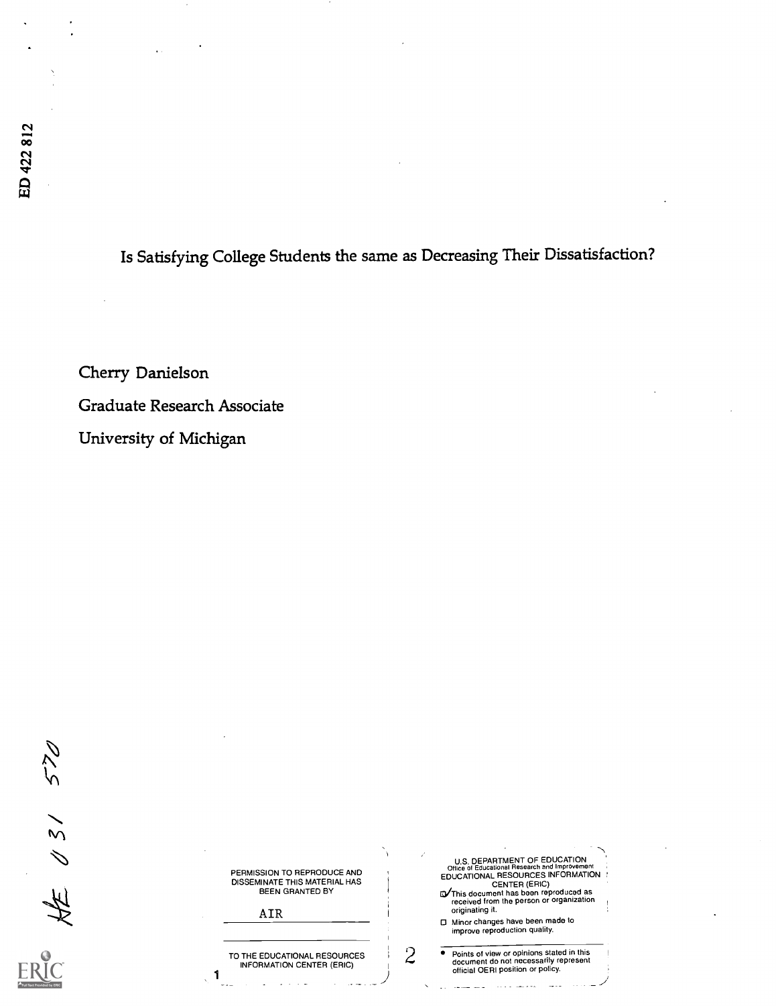# Is Satisfying College Students the same as Decreasing Their Dissatisfaction?

Cherry Danielson Graduate Research Associate University of Michigan

270  $Hz \times 31$ 

| PERMISSION TO REPRODUCE AND   |  |
|-------------------------------|--|
| DISSEMINATE THIS MATERIAL HAS |  |
| BEEN GRANTED BY               |  |

AIR

1

TO THE EDUCATIONAL RESOURCES<br>
INFORMATION CENTER (ERIC)

| U.S. DEPARTMENT OF EDUCATION<br>Office of Educational Research and Improvement<br>EDUCATIONAL RESOURCES INFORMATION : |  |
|-----------------------------------------------------------------------------------------------------------------------|--|
| <b>CENTER (ERIC)</b><br>EV This document has been reproduced as<br>received from the person or organization           |  |
| originating it.                                                                                                       |  |

Minor changes have been made to improve reproduction quality.

Points of view or opinions stated in this document do not necessarily represent official OERI position or poky.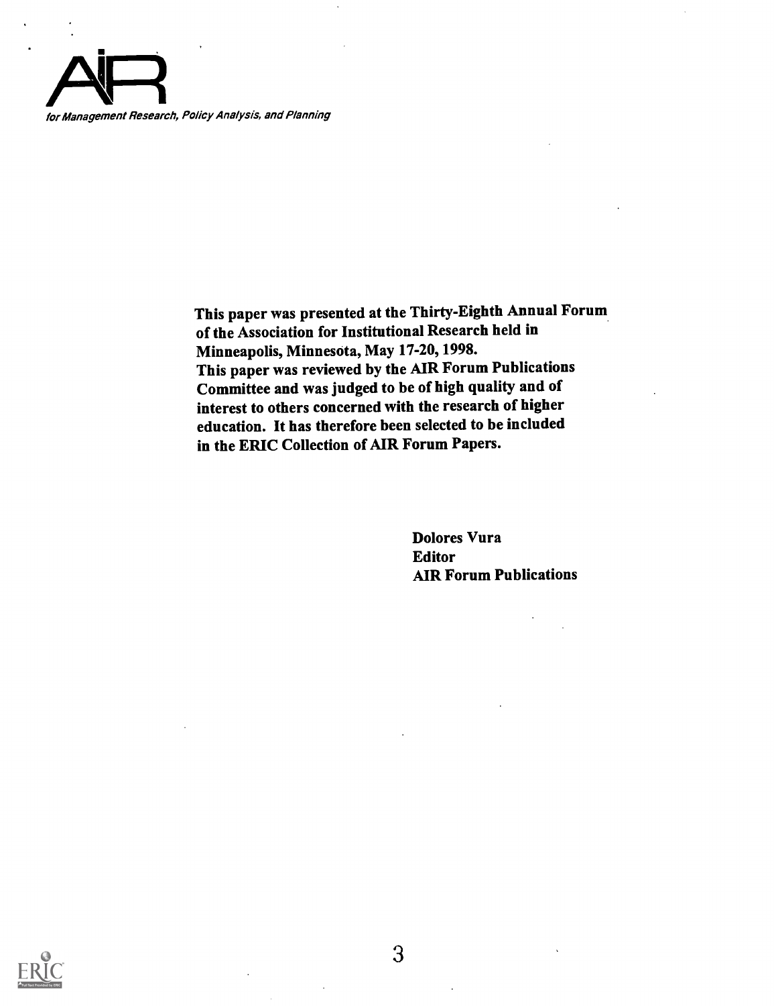

This paper was presented at the Thirty-Eighth Annual Forum of the Association for Institutional Research held in Minneapolis, Minnesota, May 17-20, 1998. This paper was reviewed by the AIR Forum Publications Committee and was judged to be of high quality and of interest to others concerned with the research of higher education. It has therefore been selected to be included in the ERIC Collection of AIR Forum Papers.

> Dolores Vura Editor AIR Forum Publications

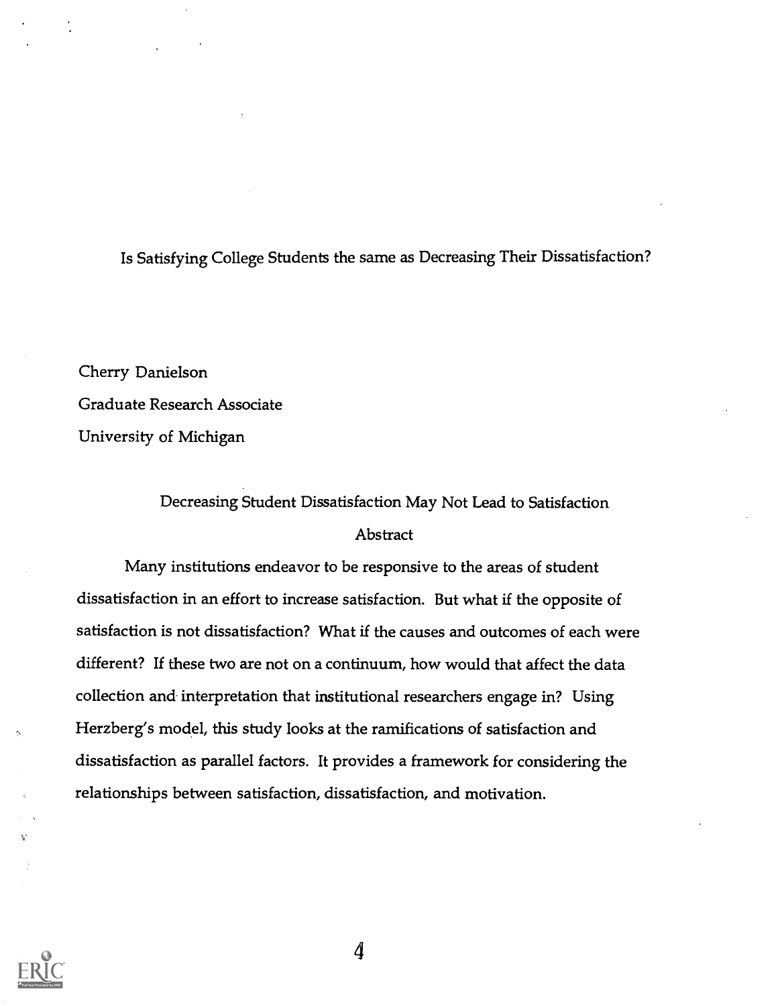## Is Satisfying College Students the same as Decreasing Their Dissatisfaction?

Cherry Danielson Graduate Research Associate University of Michigan

## Decreasing Student Dissatisfaction May Not Lead to Satisfaction Abstract

Many institutions endeavor to be responsive to the areas of student dissatisfaction in an effort to increase satisfaction. But what if the opposite of satisfaction is not dissatisfaction? What if the causes and outcomes of each were different? If these two are not on a continuum, how would that affect the data collection and interpretation that institutional researchers engage in? Using Herzberg's model, this study looks at the ramifications of satisfaction and dissatisfaction as parallel factors. It provides a framework for considering the relationships between satisfaction, dissatisfaction, and motivation.

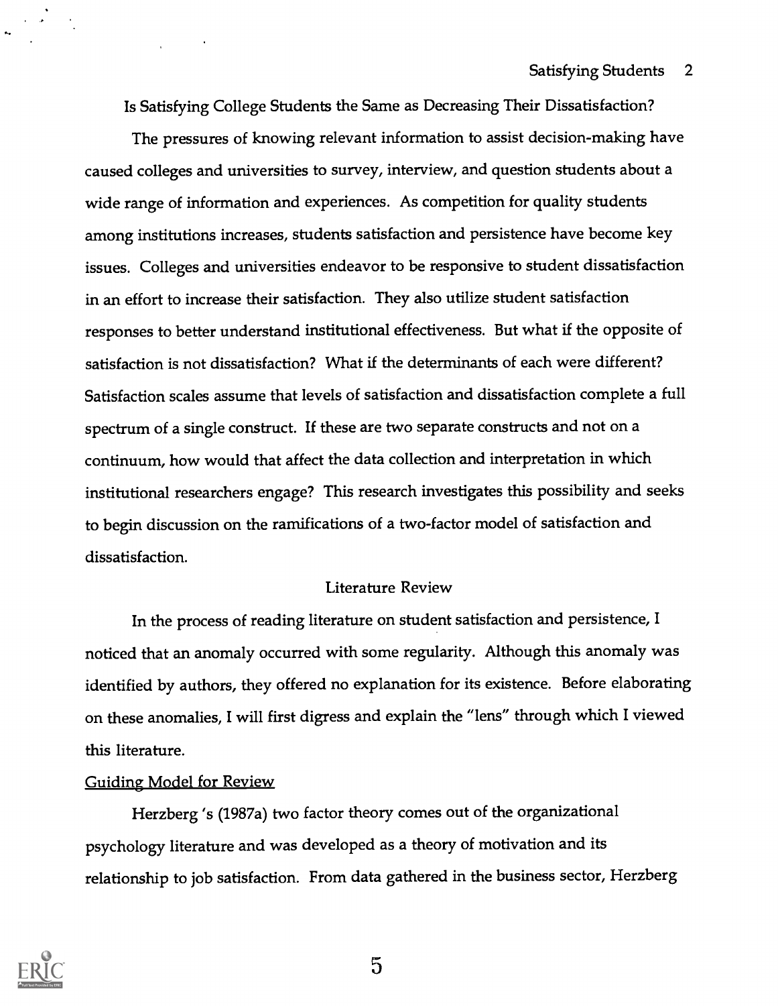Is Satisfying College Students the Same as Decreasing Their Dissatisfaction?

The pressures of knowing relevant information to assist decision-making have caused colleges and universities to survey, interview, and question students about a wide range of information and experiences. As competition for quality students among institutions increases, students satisfaction and persistence have become key issues. Colleges and universities endeavor to be responsive to student dissatisfaction in an effort to increase their satisfaction. They also utilize student satisfaction responses to better understand institutional effectiveness. But what if the opposite of satisfaction is not dissatisfaction? What if the determinants of each were different? Satisfaction scales assume that levels of satisfaction and dissatisfaction complete a full spectrum of a single construct. If these are two separate constructs and not on a continuum, how would that affect the data collection and interpretation in which institutional researchers engage? This research investigates this possibility and seeks to begin discussion on the ramifications of a two-factor model of satisfaction and dissatisfaction.

#### Literature Review

In the process of reading literature on student satisfaction and persistence, I noticed that an anomaly occurred with some regularity. Although this anomaly was identified by authors, they offered no explanation for its existence. Before elaborating on these anomalies, I will first digress and explain the "lens" through which I viewed this literature.

#### Guiding Model for Review

Herzberg 's (1987a) two factor theory comes out of the organizational psychology literature and was developed as a theory of motivation and its relationship to job satisfaction. From data gathered in the business sector, Herzberg

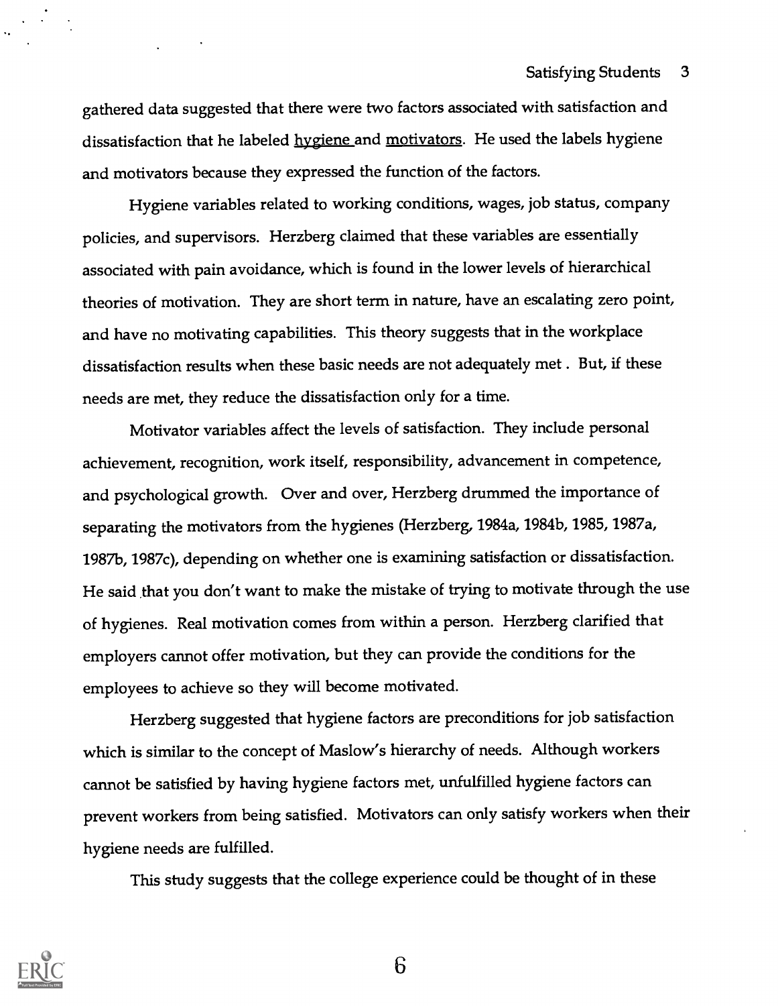gathered data suggested that there were two factors associated with satisfaction and dissatisfaction that he labeled hygiene and motivators. He used the labels hygiene and motivators because they expressed the function of the factors.

Hygiene variables related to working conditions, wages, job status, company policies, and supervisors. Herzberg claimed that these variables are essentially associated with pain avoidance, which is found in the lower levels of hierarchical theories of motivation. They are short term in nature, have an escalating zero point, and have no motivating capabilities. This theory suggests that in the workplace dissatisfaction results when these basic needs are not adequately met . But, if these needs are met, they reduce the dissatisfaction only for a time.

Motivator variables affect the levels of satisfaction. They include personal achievement, recognition, work itself, responsibility, advancement in competence, and psychological growth. Over and over, Herzberg drummed the importance of separating the motivators from the hygienes (Herzberg, 1984a, 1984b, 1985, 1987a, 1987b, 1987c), depending on whether one is examining satisfaction or dissatisfaction. He said that you don't want to make the mistake of trying to motivate through the use of hygienes. Real motivation comes from within a person. Herzberg clarified that employers cannot offer motivation, but they can provide the conditions for the employees to achieve so they will become motivated.

Herzberg suggested that hygiene factors are preconditions for job satisfaction which is similar to the concept of Maslow's hierarchy of needs. Although workers cannot be satisfied by having hygiene factors met, unfulfilled hygiene factors can prevent workers from being satisfied. Motivators can only satisfy workers when their hygiene needs are fulfilled.

This study suggests that the college experience could be thought of in these

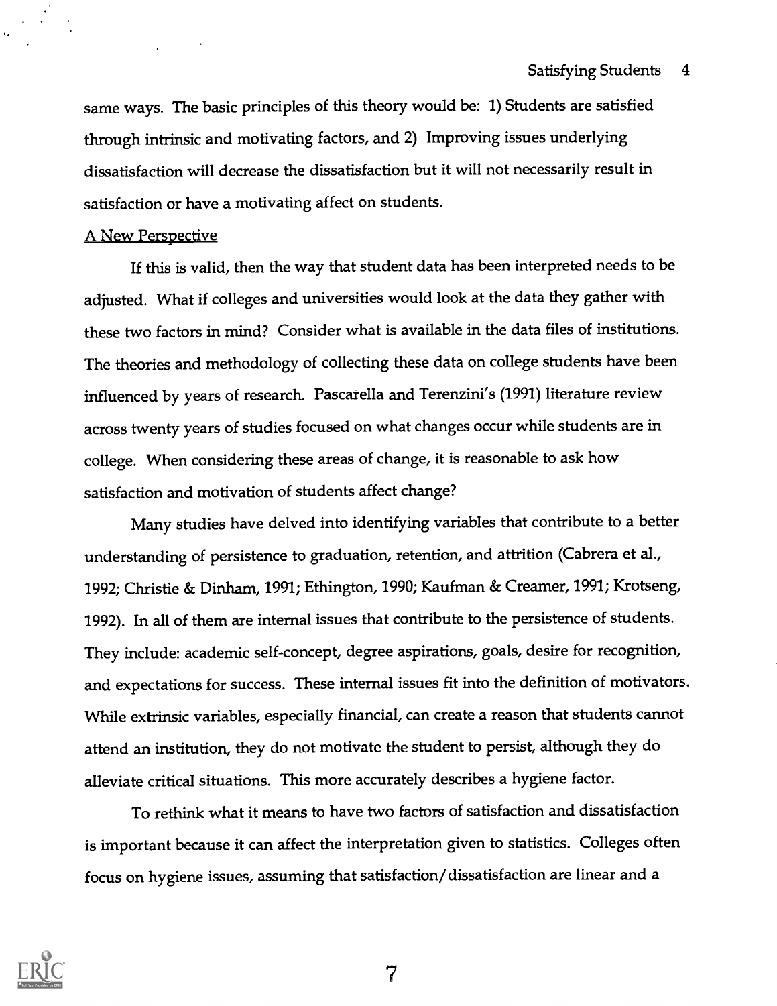same ways. The basic principles of this theory would be: 1) Students are satisfied through intrinsic and motivating factors, and 2) Improving issues underlying dissatisfaction will decrease the dissatisfaction but it will not necessarily result in satisfaction or have a motivating affect on students.

#### A New Perspective

If this is valid, then the way that student data has been interpreted needs to be adjusted. What if colleges and universities would look at the data they gather with these two factors in mind? Consider what is available in the data files of institutions. The theories and methodology of collecting these data on college students have been influenced by years of research. Pascarella and Terenzini's (1991) literature review across twenty years of studies focused on what changes occur while students are in college. When considering these areas of change, it is reasonable to ask how satisfaction and motivation of students affect change?

Many studies have delved into identifying variables that contribute to a better understanding of persistence to graduation, retention, and attrition (Cabrera et al., 1992; Christie & Dinham, 1991; Ethington, 1990; Kaufman & Creamer, 1991; Krotseng, 1992). In all of them are internal issues that contribute to the persistence of students. They include: academic self-concept, degree aspirations, goals, desire for recognition, and expectations for success. These internal issues fit into the definition of motivators. While extrinsic variables, especially financial, can create a reason that students cannot attend an institution, they do not motivate the student to persist, although they do alleviate critical situations. This more accurately describes a hygiene factor.

To rethink what it means to have two factors of satisfaction and dissatisfaction is important because it can affect the interpretation given to statistics. Colleges often focus on hygiene issues, assuming that satisfaction/dissatisfaction are linear and a

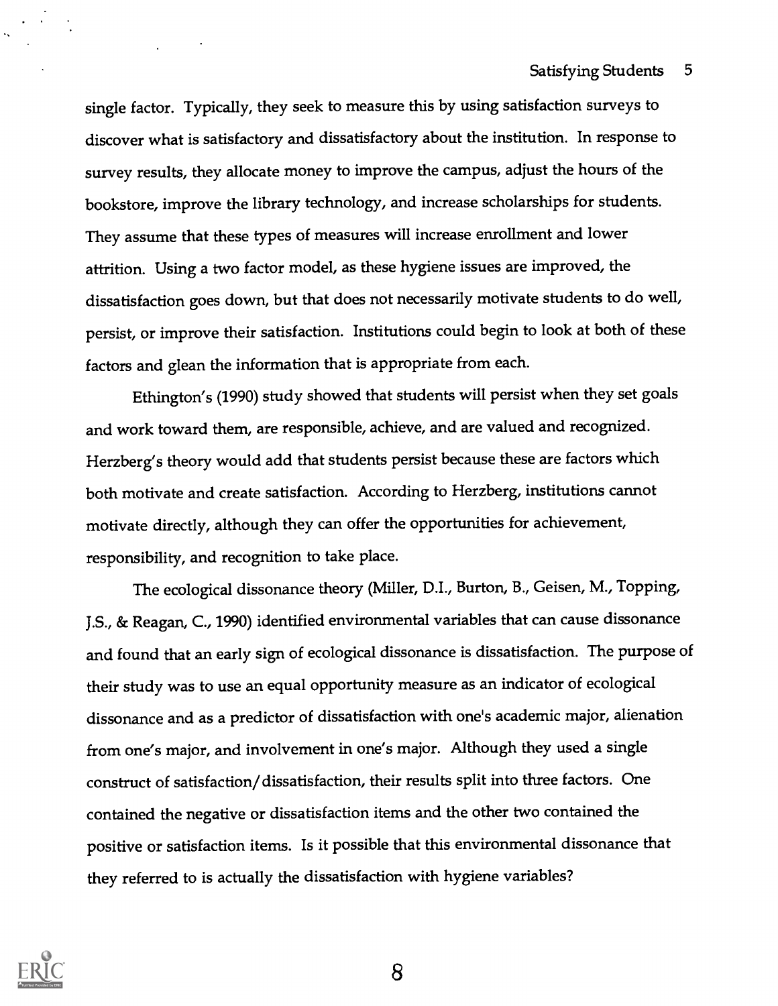single factor. Typically, they seek to measure this by using satisfaction surveys to discover what is satisfactory and dissatisfactory about the institution. In response to survey results, they allocate money to improve the campus, adjust the hours of the bookstore, improve the library technology, and increase scholarships for students. They assume that these types of measures will increase enrollment and lower attrition. Using a two factor model, as these hygiene issues are improved, the dissatisfaction goes down, but that does not necessarily motivate students to do well, persist, or improve their satisfaction. Institutions could begin to look at both of these factors and glean the information that is appropriate from each.

Ethington's (1990) study showed that students will persist when they set goals and work toward them, are responsible, achieve, and are valued and recognized. Herzberg's theory would add that students persist because these are factors which both motivate and create satisfaction. According to Herzberg, institutions cannot motivate directly, although they can offer the opportunities for achievement, responsibility, and recognition to take place.

The ecological dissonance theory (Miller, D.I., Burton, B., Geisen, M., Topping, J.S., & Reagan, C., 1990) identified environmental variables that can cause dissonance and found that an early sign of ecological dissonance is dissatisfaction. The purpose of their study was to use an equal opportunity measure as an indicator of ecological dissonance and as a predictor of dissatisfaction with one's academic major, alienation from one's major, and involvement in one's major. Although they used a single construct of satisfaction/dissatisfaction, their results split into three factors. One contained the negative or dissatisfaction items and the other two contained the positive or satisfaction items. Is it possible that this environmental dissonance that they referred to is actually the dissatisfaction with hygiene variables?

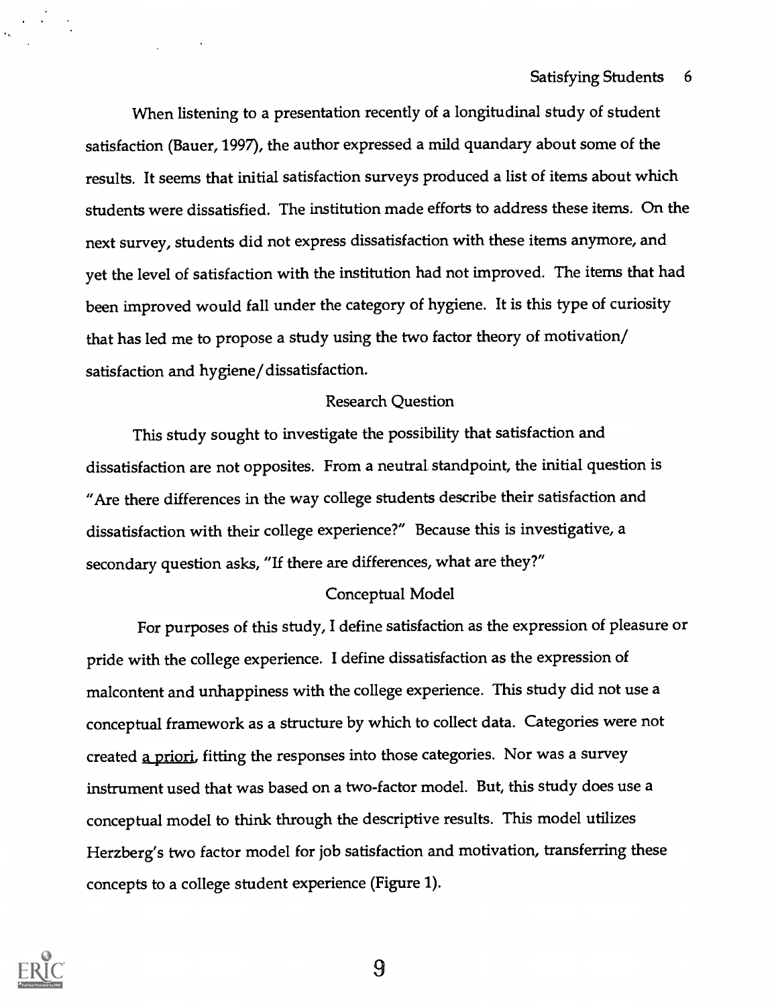### Satisfying Students 6

When listening to a presentation recently of a longitudinal study of student satisfaction (Bauer, 1997), the author expressed a mild quandary about some of the results. It seems that initial satisfaction surveys produced a list of items about which students were dissatisfied. The institution made efforts to address these items. On the next survey, students did not express dissatisfaction with these items anymore, and yet the level of satisfaction with the institution had not improved. The items that had been improved would fall under the category of hygiene. It is this type of curiosity that has led me to propose a study using the two factor theory of motivation/ satisfaction and hygiene/dissatisfaction.

#### Research Question

This study sought to investigate the possibility that satisfaction and dissatisfaction are not opposites. From a neutral standpoint, the initial question is "Are there differences in the way college students describe their satisfaction and dissatisfaction with their college experience?" Because this is investigative, a secondary question asks, "If there are differences, what are they?"

#### Conceptual Model

For purposes of this study, I define satisfaction as the expression of pleasure or pride with the college experience. I define dissatisfaction as the expression of malcontent and unhappiness with the college experience. This study did not use a conceptual framework as a structure by which to collect data. Categories were not created a priori, fitting the responses into those categories. Nor was a survey instrument used that was based on a two-factor model. But, this study does use a conceptual model to think through the descriptive results. This model utilizes Herzberg's two factor model for job satisfaction and motivation, transferring these concepts to a college student experience (Figure 1).

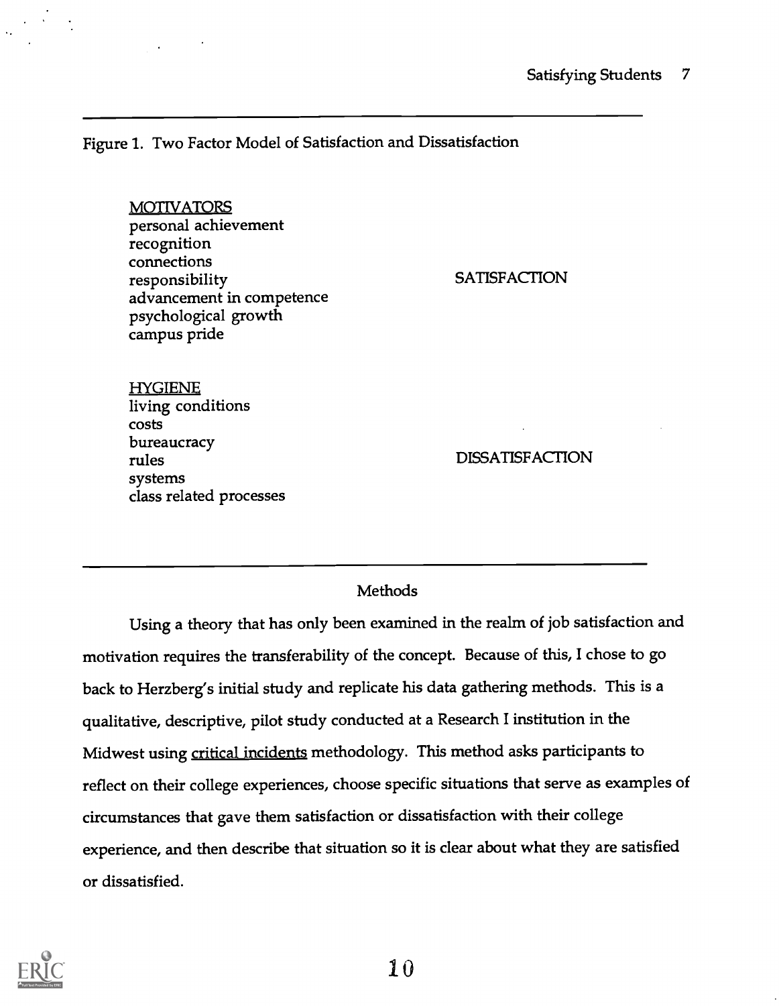Figure 1. Two Factor Model of Satisfaction and Dissatisfaction

MOTIVATORS personal achievement recognition connections responsibility advancement in competence psychological growth campus pride

**SATISFACTION** 

HYGIENE living conditions costs bureaucracy rules systems class related processes

DISSATISFACTION

## **Methods**

Using a theory that has only been examined in the realm of job satisfaction and motivation requires the transferability of the concept. Because of this, I chose to go back to Herzberg's initial study and replicate his data gathering methods. This is a qualitative, descriptive, pilot study conducted at a Research I institution in the Midwest using critical incidents methodology. This method asks participants to reflect on their college experiences, choose specific situations that serve as examples of circumstances that gave them satisfaction or dissatisfaction with their college experience, and then describe that situation so it is clear about what they are satisfied or dissatisfied.

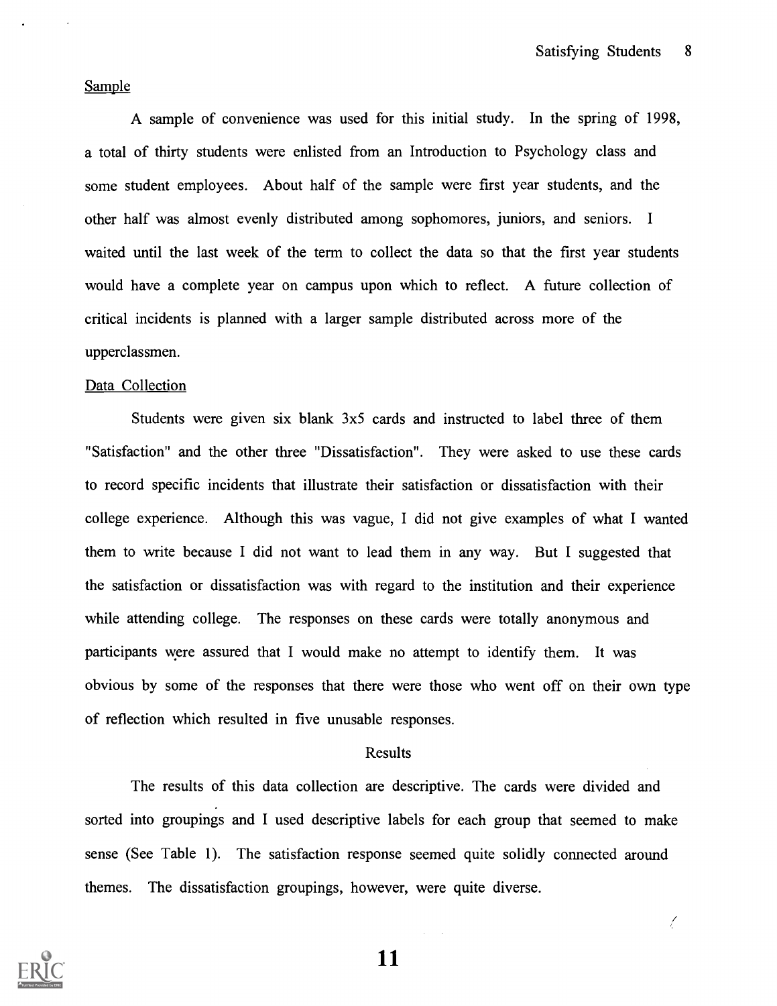Ţ

#### Sample

A sample of convenience was used for this initial study. In the spring of 1998, a total of thirty students were enlisted from an Introduction to Psychology class and some student employees. About half of the sample were first year students, and the other half was almost evenly distributed among sophomores, juniors, and seniors. I waited until the last week of the term to collect the data so that the first year students would have a complete year on campus upon which to reflect. A future collection of critical incidents is planned with a larger sample distributed across more of the upperclassmen.

#### Data Collection

Students were given six blank 3x5 cards and instructed to label three of them "Satisfaction" and the other three "Dissatisfaction". They were asked to use these cards to record specific incidents that illustrate their satisfaction or dissatisfaction with their college experience. Although this was vague, I did not give examples of what I wanted them to write because I did not want to lead them in any way. But I suggested that the satisfaction or dissatisfaction was with regard to the institution and their experience while attending college. The responses on these cards were totally anonymous and participants were assured that I would make no attempt to identify them. It was obvious by some of the responses that there were those who went off on their own type of reflection which resulted in five unusable responses.

#### Results

The results of this data collection are descriptive. The cards were divided and sorted into groupings and I used descriptive labels for each group that seemed to make sense (See Table 1). The satisfaction response seemed quite solidly connected around themes. The dissatisfaction groupings, however, were quite diverse.



11

 $\mathcal{L}^{(1)}$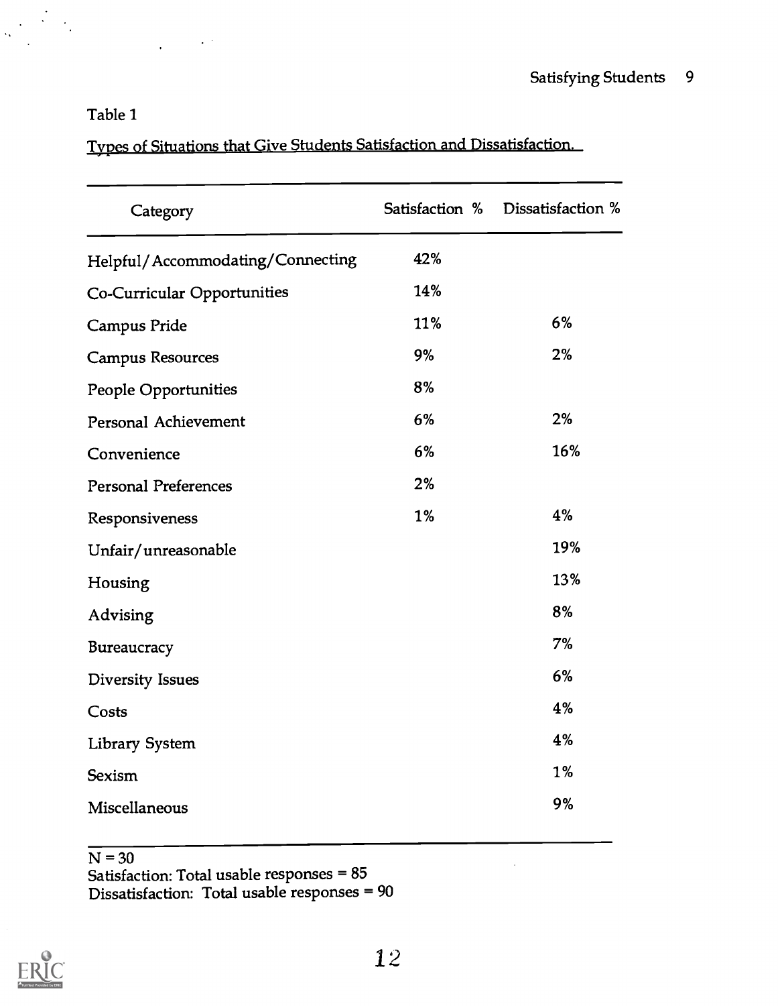## Table 1

 $\sim 10^{-1}$ 

 $\frac{1}{2}$  .

Types of Situations that Give Students Satisfaction and Dissatisfaction.

| Category                         | Satisfaction % | Dissatisfaction % |
|----------------------------------|----------------|-------------------|
| Helpful/Accommodating/Connecting | 42%            |                   |
| Co-Curricular Opportunities      | 14%            |                   |
| Campus Pride                     | 11%            | 6%                |
| <b>Campus Resources</b>          | 9%             | 2%                |
| People Opportunities             | 8%             |                   |
| Personal Achievement             | 6%             | 2%                |
| Convenience                      | 6%             | 16%               |
| <b>Personal Preferences</b>      | 2%             |                   |
| Responsiveness                   | 1%             | 4%                |
| Unfair/unreasonable              |                | 19%               |
| Housing                          |                | 13%               |
| Advising                         |                | 8%                |
| Bureaucracy                      |                | 7%                |
| Diversity Issues                 |                | 6%                |
| Costs                            |                | 4%                |
| <b>Library System</b>            |                | 4%                |
| <b>Sexism</b>                    |                | 1%                |
| Miscellaneous                    |                | 9%                |

 $N = 30$ 

Satisfaction: Total usable responses = 85 Dissatisfaction: Total usable responses = 90



 $\bar{z}$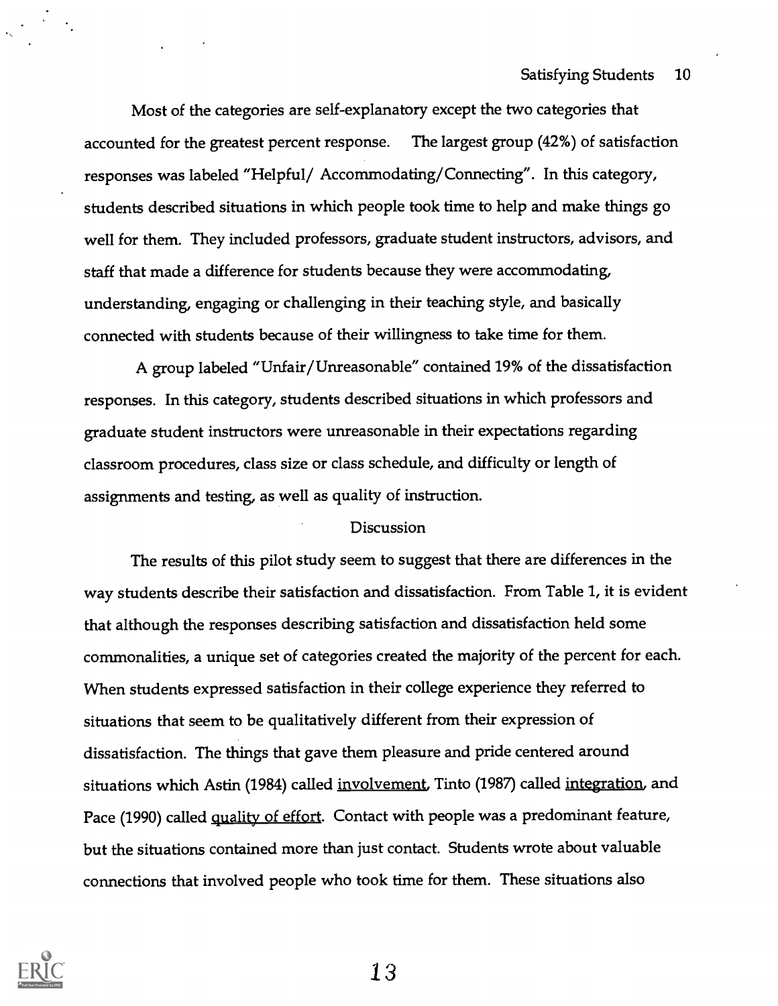Most of the categories are self-explanatory except the two categories that accounted for the greatest percent response. The largest group (42%) of satisfaction responses was labeled "Helpful/ Accommodating/Connecting". In this category, students described situations in which people took time to help and make things go well for them. They included professors, graduate student instructors, advisors, and staff that made a difference for students because they were accommodating, understanding, engaging or challenging in their teaching style, and basically connected with students because of their willingness to take time for them.

A group labeled "Unfair/Unreasonable" contained 19% of the dissatisfaction responses. In this category, students described situations in which professors and graduate student instructors were unreasonable in their expectations regarding classroom procedures, class size or class schedule, and difficulty or length of assignments and testing, as well as quality of instruction.

#### Discussion

The results of this pilot study seem to suggest that there are differences in the way students describe their satisfaction and dissatisfaction. From Table 1, it is evident that although the responses describing satisfaction and dissatisfaction held some commonalities, a unique set of categories created the majority of the percent for each. When students expressed satisfaction in their college experience they referred to situations that seem to be qualitatively different from their expression of dissatisfaction. The things that gave them pleasure and pride centered around situations which Astin (1984) called <u>involvement</u>, Tinto (1987) called <u>integration</u>, and Pace (1990) called quality of effort. Contact with people was a predominant feature, but the situations contained more than just contact. Students wrote about valuable connections that involved people who took time for them. These situations also

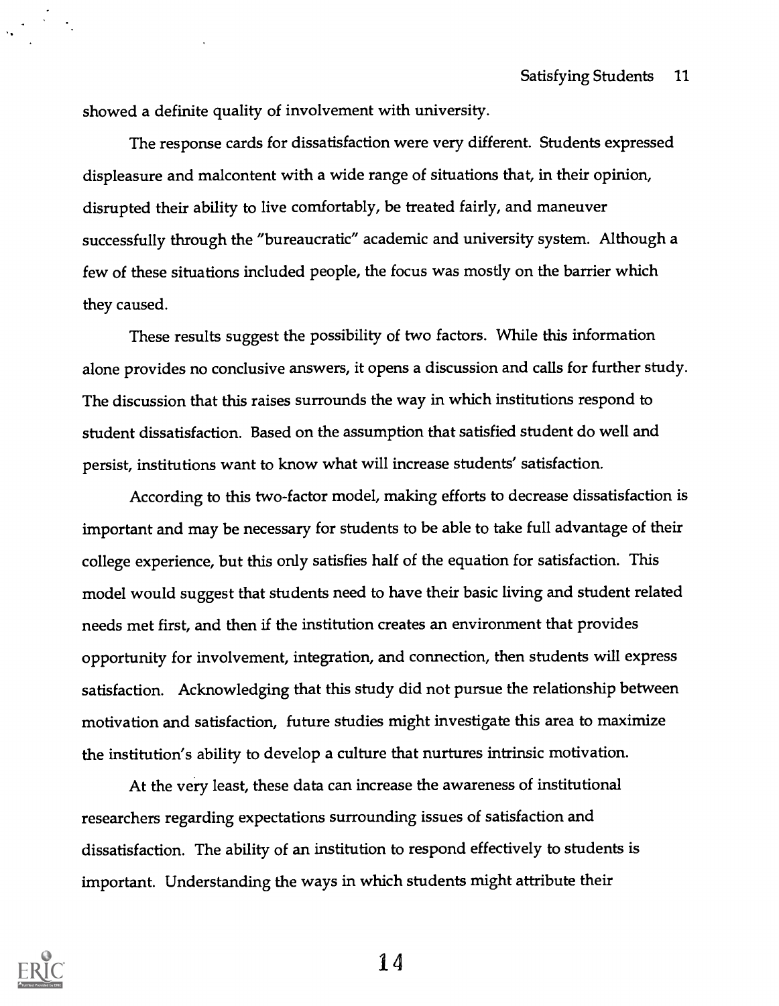showed a definite quality of involvement with university.

The response cards for dissatisfaction were very different. Students expressed displeasure and malcontent with a wide range of situations that, in their opinion, disrupted their ability to live comfortably, be treated fairly, and maneuver successfully through the "bureaucratic" academic and university system. Although a few of these situations included people, the focus was mostly on the barrier which they caused.

These results suggest the possibility of two factors. While this information alone provides no conclusive answers, it opens a discussion and calls for further study. The discussion that this raises surrounds the way in which institutions respond to student dissatisfaction. Based on the assumption that satisfied student do well and persist, institutions want to know what will increase students' satisfaction.

According to this two-factor model, making efforts to decrease dissatisfaction is important and may be necessary for students to be able to take full advantage of their college experience, but this only satisfies half of the equation for satisfaction. This model would suggest that students need to have their basic living and student related needs met first, and then if the institution creates an environment that provides opportunity for involvement, integration, and connection, then students will express satisfaction. Acknowledging that this study did not pursue the relationship between motivation and satisfaction, future studies might investigate this area to maximize the institution's ability to develop a culture that nurtures intrinsic motivation.

At the very least, these data can increase the awareness of institutional researchers regarding expectations surrounding issues of satisfaction and dissatisfaction. The ability of an institution to respond effectively to students is important. Understanding the ways in which students might attribute their

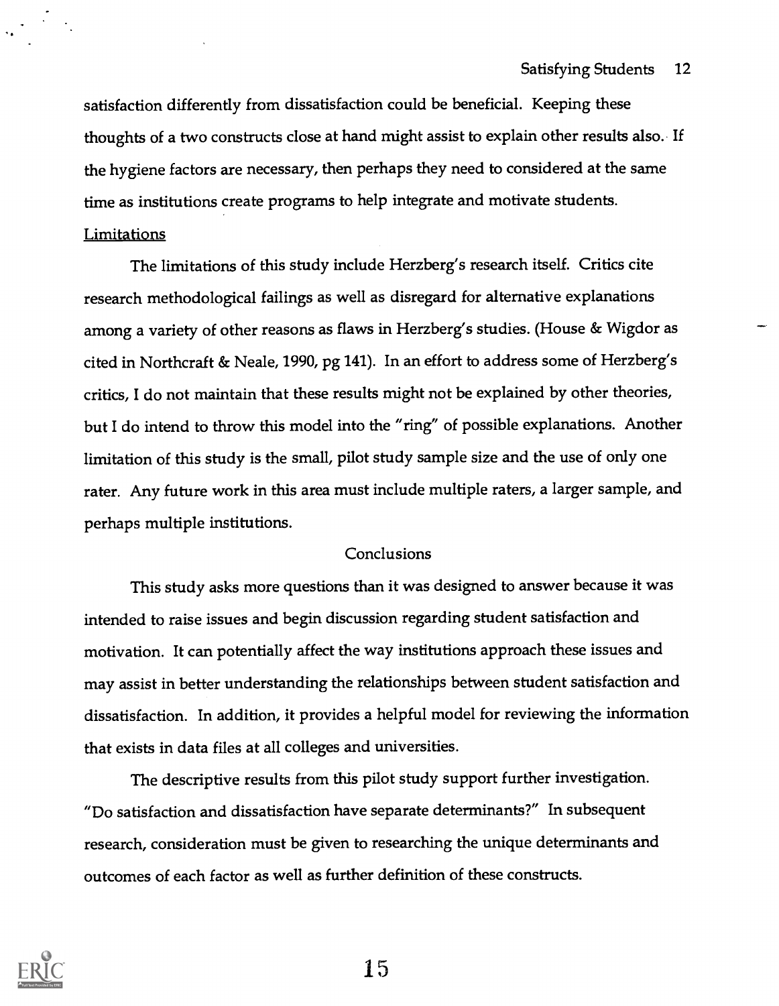satisfaction differently from dissatisfaction could be beneficial. Keeping these thoughts of a two constructs close at hand might assist to explain other results also. If the hygiene factors are necessary, then perhaps they need to considered at the same time as institutions create programs to help integrate and motivate students.

### Limitations

The limitations of this study include Herzberg's research itself. Critics cite research methodological failings as well as disregard for alternative explanations among a variety of other reasons as flaws in Herzberg's studies. (House & Wigdor as cited in Northcraft & Neale, 1990, pg 141). In an effort to address some of Herzberg's critics, I do not maintain that these results might not be explained by other theories, but I do intend to throw this model into the "ring" of possible explanations. Another limitation of this study is the small, pilot study sample size and the use of only one rater. Any future work in this area must include multiple raters, a larger sample, and perhaps multiple institutions.

#### Conclusions

This study asks more questions than it was designed to answer because it was intended to raise issues and begin discussion regarding student satisfaction and motivation. It can potentially affect the way institutions approach these issues and may assist in better understanding the relationships between student satisfaction and dissatisfaction. In addition, it provides a helpful model for reviewing the information that exists in data files at all colleges and universities.

The descriptive results from this pilot study support further investigation. "Do satisfaction and dissatisfaction have separate determinants?" In subsequent research, consideration must be given to researching the unique determinants and outcomes of each factor as well as further definition of these constructs.

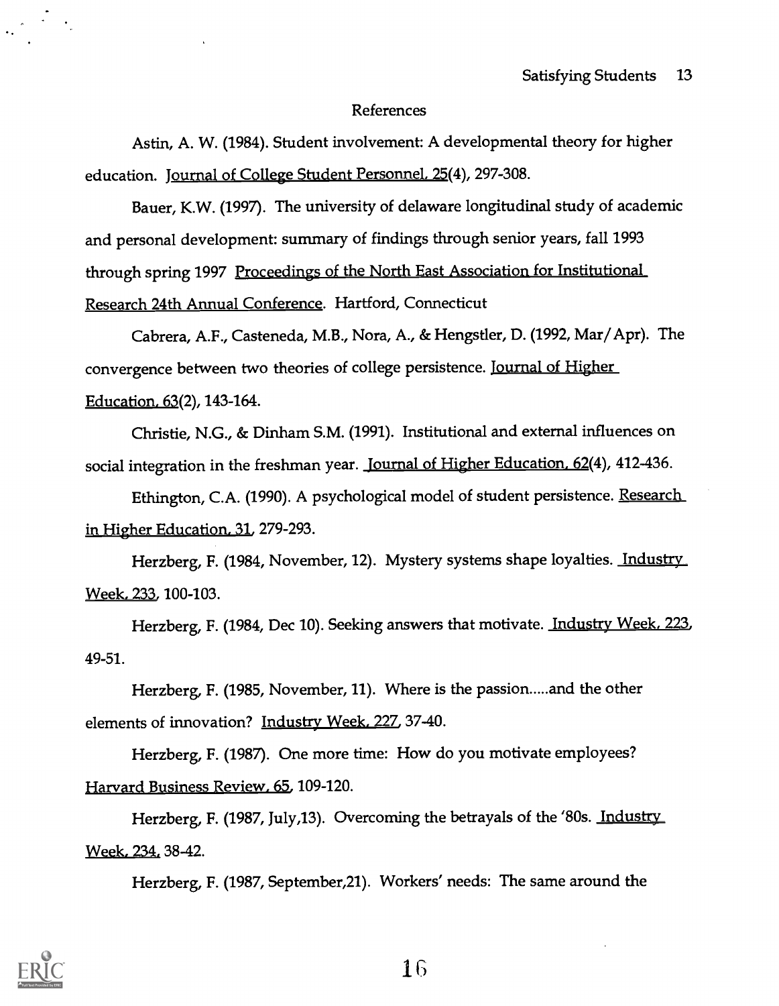### References

Astin, A. W. (1984). Student involvement: A developmental theory for higher education. Journal of College Student Personnel, 25(4), 297-308.

Bauer, K.W. (1997). The university of delaware longitudinal study of academic and personal development: summary of findings through senior years, fall 1993 through spring 1997 Proceedings of the North East Association for Institutional Research 24th Annual Conference. Hartford, Connecticut

Cabrera, A.F., Casteneda, M.B., Nora, A., & Hengstler, D. (1992, Mar/Apr). The convergence between two theories of college persistence. **Journal of Higher** Education. 63(2), 143-164.

Christie, N.G., & Dinham S.M. (1991). Institutional and external influences on social integration in the freshman year. Journal of Higher Education. 62(4), 412-436.

Ethington, C.A. (1990). A psychological model of student persistence. Research in Higher Education, 31, 279-293.

Herzberg, F. (1984, November, 12). Mystery systems shape loyalties. Industry Week, 233, 100-103.

Herzberg, F. (1984, Dec 10). Seeking answers that motivate. Industry Week, 223, 49-51.

Herzberg, F. (1985, November, 11). Where is the passion.....and the other elements of innovation? Industry Week, 227, 37-40.

Herzberg, F. (1987). One more time: How do you motivate employees? Harvard Business Review, 65, 109-120.

Herzberg, F. (1987, July,13). Overcoming the betrayals of the '80s. Industry Week, 234. 38-42.

Herzberg, F. (1987, September,21). Workers' needs: The same around the

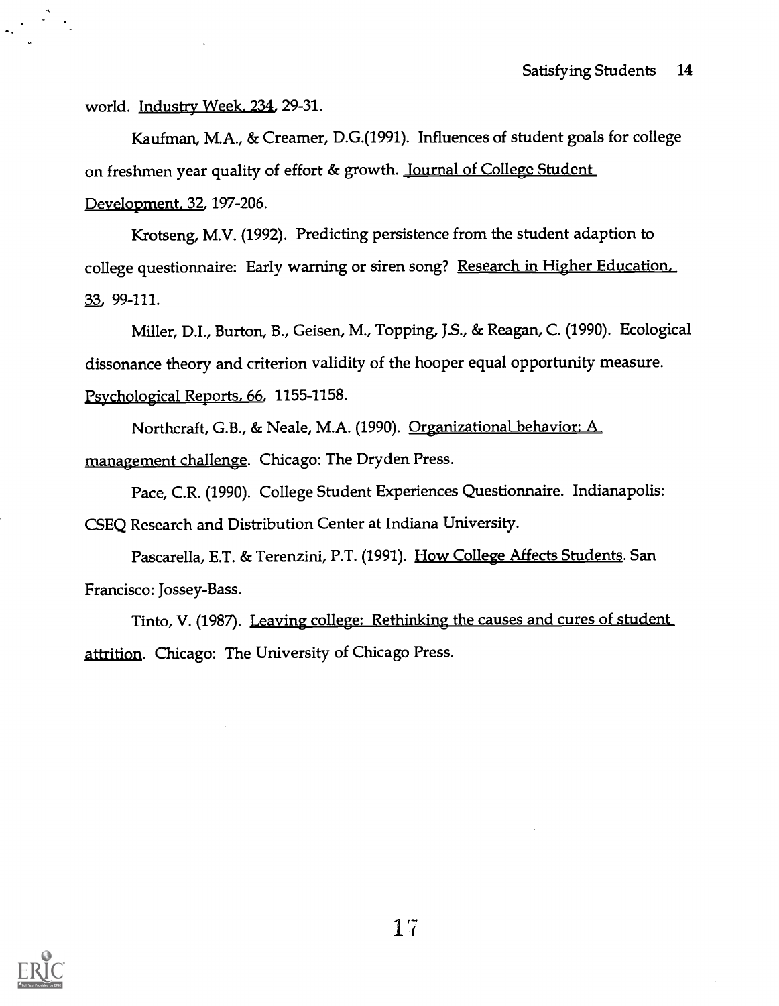world. Industry Week, 234, 29-31.

Kaufman, M.A., & Creamer, D.G.(1991). Influences of student goals for college on freshmen year quality of effort & growth. Journal of College Student Development, 32, 197-206.

Krotseng, M.V. (1992). Predicting persistence from the student adaption to college questionnaire: Early warning or siren song? Research in Higher Education, 33, 99-111.

Miller, D.I., Burton, B., Geisen, M., Topping, J.S., & Reagan, C. (1990). Ecological dissonance theory and criterion validity of the hooper equal opportunity measure. Psychological Reports, 66, 1155-1158.

Northcraft, G.B., & Neale, M.A. (1990). Organizational behavior: A management challenge. Chicago: The Dryden Press.

Pace, C.R. (1990). College Student Experiences Questionnaire. Indianapolis: CSEQ Research and Distribution Center at Indiana University.

Pascarella, E.T. & Terenzini, P.T. (1991). How College Affects Students. San Francisco: Jossey-Bass.

Tinto, V. (1987). Leaving college: Rethinking the causes and cures of student attrition. Chicago: The University of Chicago Press.